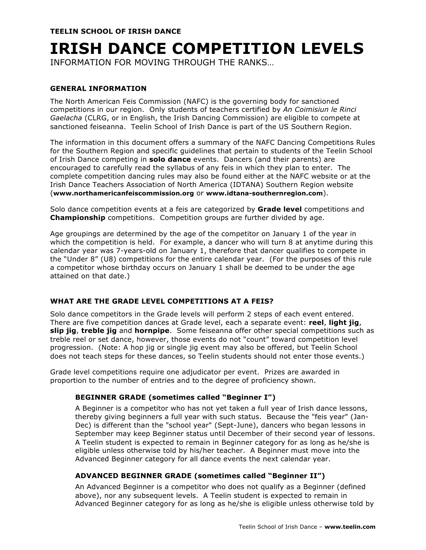# **IRISH DANCE COMPETITION LEVELS**

INFORMATION FOR MOVING THROUGH THE RANKS…

# **GENERAL INFORMATION**

The North American Feis Commission (NAFC) is the governing body for sanctioned competitions in our region. Only students of teachers certified by *An Coimisiun le Rinci Gaelacha* (CLRG, or in English, the Irish Dancing Commission) are eligible to compete at sanctioned feiseanna. Teelin School of Irish Dance is part of the US Southern Region.

The information in this document offers a summary of the NAFC Dancing Competitions Rules for the Southern Region and specific guidelines that pertain to students of the Teelin School of Irish Dance competing in **solo dance** events. Dancers (and their parents) are encouraged to carefully read the syllabus of any feis in which they plan to enter. The complete competition dancing rules may also be found either at the NAFC website or at the Irish Dance Teachers Association of North America (IDTANA) Southern Region website (**www.northamericanfeiscommission.org** or **www.idtana-southernregion.com**).

Solo dance competition events at a feis are categorized by **Grade level** competitions and **Championship** competitions. Competition groups are further divided by age.

Age groupings are determined by the age of the competitor on January 1 of the year in which the competition is held. For example, a dancer who will turn 8 at anytime during this calendar year was 7-years-old on January 1, therefore that dancer qualifies to compete in the "Under 8" (U8) competitions for the entire calendar year. (For the purposes of this rule a competitor whose birthday occurs on January 1 shall be deemed to be under the age attained on that date.)

# **WHAT ARE THE GRADE LEVEL COMPETITIONS AT A FEIS?**

Solo dance competitors in the Grade levels will perform 2 steps of each event entered. There are five competition dances at Grade level, each a separate event: **reel**, **light jig**, **slip jig**, **treble jig** and **hornpipe**. Some feiseanna offer other special competitions such as treble reel or set dance, however, those events do not "count" toward competition level progression. (Note: A hop jig or single jig event may also be offered, but Teelin School does not teach steps for these dances, so Teelin students should not enter those events.)

Grade level competitions require one adjudicator per event. Prizes are awarded in proportion to the number of entries and to the degree of proficiency shown.

# **BEGINNER GRADE (sometimes called "Beginner I")**

A Beginner is a competitor who has not yet taken a full year of Irish dance lessons, thereby giving beginners a full year with such status. Because the "feis year" (Jan-Dec) is different than the "school year" (Sept-June), dancers who began lessons in September may keep Beginner status until December of their second year of lessons. A Teelin student is expected to remain in Beginner category for as long as he/she is eligible unless otherwise told by his/her teacher. A Beginner must move into the Advanced Beginner category for all dance events the next calendar year.

# **ADVANCED BEGINNER GRADE (sometimes called "Beginner II")**

An Advanced Beginner is a competitor who does not qualify as a Beginner (defined above), nor any subsequent levels. A Teelin student is expected to remain in Advanced Beginner category for as long as he/she is eligible unless otherwise told by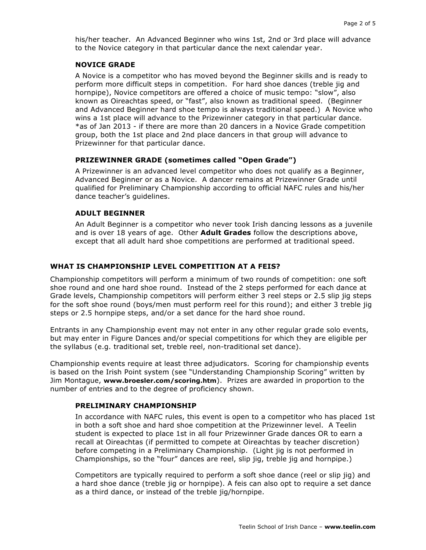his/her teacher. An Advanced Beginner who wins 1st, 2nd or 3rd place will advance to the Novice category in that particular dance the next calendar year.

## **NOVICE GRADE**

A Novice is a competitor who has moved beyond the Beginner skills and is ready to perform more difficult steps in competition. For hard shoe dances (treble jig and hornpipe), Novice competitors are offered a choice of music tempo: "slow", also known as Oireachtas speed, or "fast", also known as traditional speed. (Beginner and Advanced Beginner hard shoe tempo is always traditional speed.) A Novice who wins a 1st place will advance to the Prizewinner category in that particular dance. \*as of Jan 2013 - if there are more than 20 dancers in a Novice Grade competition group, both the 1st place and 2nd place dancers in that group will advance to Prizewinner for that particular dance.

## **PRIZEWINNER GRADE (sometimes called "Open Grade")**

A Prizewinner is an advanced level competitor who does not qualify as a Beginner, Advanced Beginner or as a Novice. A dancer remains at Prizewinner Grade until qualified for Preliminary Championship according to official NAFC rules and his/her dance teacher's guidelines.

## **ADULT BEGINNER**

An Adult Beginner is a competitor who never took Irish dancing lessons as a juvenile and is over 18 years of age. Other **Adult Grades** follow the descriptions above, except that all adult hard shoe competitions are performed at traditional speed.

# **WHAT IS CHAMPIONSHIP LEVEL COMPETITION AT A FEIS?**

Championship competitors will perform a minimum of two rounds of competition: one soft shoe round and one hard shoe round. Instead of the 2 steps performed for each dance at Grade levels, Championship competitors will perform either 3 reel steps or 2.5 slip jig steps for the soft shoe round (boys/men must perform reel for this round); and either 3 treble jig steps or 2.5 hornpipe steps, and/or a set dance for the hard shoe round.

Entrants in any Championship event may not enter in any other regular grade solo events, but may enter in Figure Dances and/or special competitions for which they are eligible per the syllabus (e.g. traditional set, treble reel, non-traditional set dance).

Championship events require at least three adjudicators. Scoring for championship events is based on the Irish Point system (see "Understanding Championship Scoring" written by Jim Montague, **www.broesler.com/scoring.htm**). Prizes are awarded in proportion to the number of entries and to the degree of proficiency shown.

#### **PRELIMINARY CHAMPIONSHIP**

In accordance with NAFC rules, this event is open to a competitor who has placed 1st in both a soft shoe and hard shoe competition at the Prizewinner level. A Teelin student is expected to place 1st in all four Prizewinner Grade dances OR to earn a recall at Oireachtas (if permitted to compete at Oireachtas by teacher discretion) before competing in a Preliminary Championship. (Light jig is not performed in Championships, so the "four" dances are reel, slip jig, treble jig and hornpipe.)

Competitors are typically required to perform a soft shoe dance (reel or slip jig) and a hard shoe dance (treble jig or hornpipe). A feis can also opt to require a set dance as a third dance, or instead of the treble jig/hornpipe.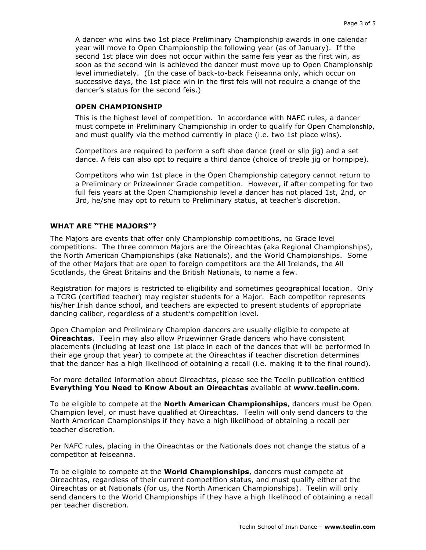A dancer who wins two 1st place Preliminary Championship awards in one calendar year will move to Open Championship the following year (as of January). If the second 1st place win does not occur within the same feis year as the first win, as soon as the second win is achieved the dancer must move up to Open Championship level immediately. (In the case of back-to-back Feiseanna only, which occur on successive days, the 1st place win in the first feis will not require a change of the dancer's status for the second feis.)

#### **OPEN CHAMPIONSHIP**

This is the highest level of competition. In accordance with NAFC rules, a dancer must compete in Preliminary Championship in order to qualify for Open Championship, and must qualify via the method currently in place (i.e. two 1st place wins).

Competitors are required to perform a soft shoe dance (reel or slip jig) and a set dance. A feis can also opt to require a third dance (choice of treble jig or hornpipe).

Competitors who win 1st place in the Open Championship category cannot return to a Preliminary or Prizewinner Grade competition. However, if after competing for two full feis years at the Open Championship level a dancer has not placed 1st, 2nd, or 3rd, he/she may opt to return to Preliminary status, at teacher's discretion.

## **WHAT ARE "THE MAJORS"?**

The Majors are events that offer only Championship competitions, no Grade level competitions. The three common Majors are the Oireachtas (aka Regional Championships), the North American Championships (aka Nationals), and the World Championships. Some of the other Majors that are open to foreign competitors are the All Irelands, the All Scotlands, the Great Britains and the British Nationals, to name a few.

Registration for majors is restricted to eligibility and sometimes geographical location. Only a TCRG (certified teacher) may register students for a Major. Each competitor represents his/her Irish dance school, and teachers are expected to present students of appropriate dancing caliber, regardless of a student's competition level.

Open Champion and Preliminary Champion dancers are usually eligible to compete at **Oireachtas**. Teelin may also allow Prizewinner Grade dancers who have consistent placements (including at least one 1st place in each of the dances that will be performed in their age group that year) to compete at the Oireachtas if teacher discretion determines that the dancer has a high likelihood of obtaining a recall (i.e. making it to the final round).

For more detailed information about Oireachtas, please see the Teelin publication entitled **Everything You Need to Know About an Oireachtas** available at **www.teelin.com**.

To be eligible to compete at the **North American Championships**, dancers must be Open Champion level, or must have qualified at Oireachtas. Teelin will only send dancers to the North American Championships if they have a high likelihood of obtaining a recall per teacher discretion.

Per NAFC rules, placing in the Oireachtas or the Nationals does not change the status of a competitor at feiseanna.

To be eligible to compete at the **World Championships**, dancers must compete at Oireachtas, regardless of their current competition status, and must qualify either at the Oireachtas or at Nationals (for us, the North American Championships). Teelin will only send dancers to the World Championships if they have a high likelihood of obtaining a recall per teacher discretion.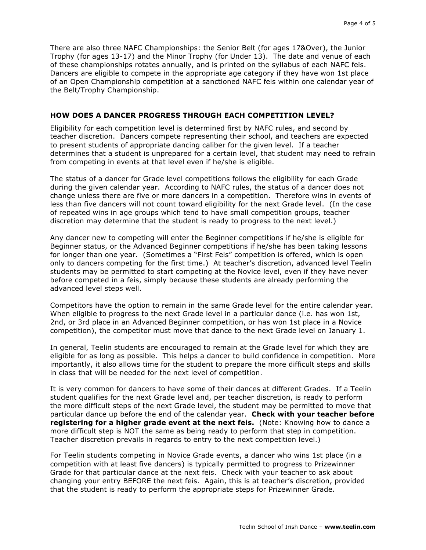There are also three NAFC Championships: the Senior Belt (for ages 17&Over), the Junior Trophy (for ages 13-17) and the Minor Trophy (for Under 13). The date and venue of each of these championships rotates annually, and is printed on the syllabus of each NAFC feis. Dancers are eligible to compete in the appropriate age category if they have won 1st place of an Open Championship competition at a sanctioned NAFC feis within one calendar year of the Belt/Trophy Championship.

## **HOW DOES A DANCER PROGRESS THROUGH EACH COMPETITION LEVEL?**

Eligibility for each competition level is determined first by NAFC rules, and second by teacher discretion. Dancers compete representing their school, and teachers are expected to present students of appropriate dancing caliber for the given level. If a teacher determines that a student is unprepared for a certain level, that student may need to refrain from competing in events at that level even if he/she is eligible.

The status of a dancer for Grade level competitions follows the eligibility for each Grade during the given calendar year. According to NAFC rules, the status of a dancer does not change unless there are five or more dancers in a competition. Therefore wins in events of less than five dancers will not count toward eligibility for the next Grade level. (In the case of repeated wins in age groups which tend to have small competition groups, teacher discretion may determine that the student is ready to progress to the next level.)

Any dancer new to competing will enter the Beginner competitions if he/she is eligible for Beginner status, or the Advanced Beginner competitions if he/she has been taking lessons for longer than one year. (Sometimes a "First Feis" competition is offered, which is open only to dancers competing for the first time.) At teacher's discretion, advanced level Teelin students may be permitted to start competing at the Novice level, even if they have never before competed in a feis, simply because these students are already performing the advanced level steps well.

Competitors have the option to remain in the same Grade level for the entire calendar year. When eligible to progress to the next Grade level in a particular dance (i.e. has won 1st, 2nd, or 3rd place in an Advanced Beginner competition, or has won 1st place in a Novice competition), the competitor must move that dance to the next Grade level on January 1.

In general, Teelin students are encouraged to remain at the Grade level for which they are eligible for as long as possible. This helps a dancer to build confidence in competition. More importantly, it also allows time for the student to prepare the more difficult steps and skills in class that will be needed for the next level of competition.

It is very common for dancers to have some of their dances at different Grades. If a Teelin student qualifies for the next Grade level and, per teacher discretion, is ready to perform the more difficult steps of the next Grade level, the student may be permitted to move that particular dance up before the end of the calendar year. **Check with your teacher before registering for a higher grade event at the next feis.** (Note: Knowing how to dance a more difficult step is NOT the same as being ready to perform that step in competition. Teacher discretion prevails in regards to entry to the next competition level.)

For Teelin students competing in Novice Grade events, a dancer who wins 1st place (in a competition with at least five dancers) is typically permitted to progress to Prizewinner Grade for that particular dance at the next feis. Check with your teacher to ask about changing your entry BEFORE the next feis. Again, this is at teacher's discretion, provided that the student is ready to perform the appropriate steps for Prizewinner Grade.